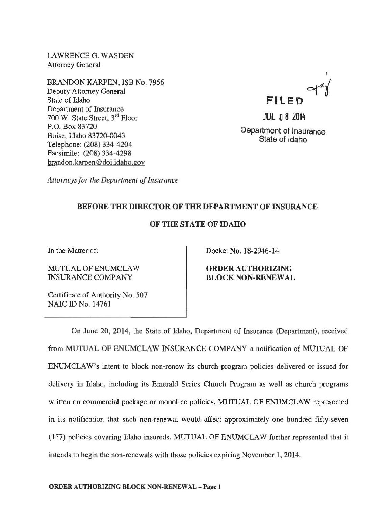LAWRENCE G. WASDEN Attorney General

BRANDON KARPEN, ISB No. 7956 Deputy Attorney General State of Idaho Department of Insurance 700 W. State Street, 3rd Floor P.O. Box 83720 Boise, Idaho 83720-0043 Telephone: (208) 334-4204 Facsimile: (208) 334-4298 brandon.karpen@doi.idaho.gov

**FILED** orl

**JUL 0 8 2014** Department ot Insurance State of Idaho

*Attorneys for the Department of Insurance* 

## BEFORE THE DIRECTOR OF THE DEPARTMENT OF INSURANCE

## OF THE STATE OF IDAHO

In the Matter of:

MUTUAL OF ENUMCLAW INSURANCE COMPANY

Docket No. 18-2946-14

ORDER AUTHORIZING BLOCK NON-RENEWAL

Certificate of Authority No. 507 NAIC ID No. 14761

On June 20, 2014, the State of Idaho, Department of Insurance (Department), received from MUTUAL OF ENUMCLAW INSURANCE COMPANY a notification of MUTUAL OF ENUMCLAW's intent to block non-renew its church program policies delivered or issued for delivery in Idaho, including its Emerald Series Church Program as well as church programs written on commercial package or monoline policies. MUTUAL OF ENUMCLAW represented in its notification that such non-renewal would affect approximately one hundred fifty-seven (157) policies covering Idaho insureds. MUTUAL OF ENUMCLAW further represented that it intends to begin the non-renewals with those policies expiring November 1, 2014.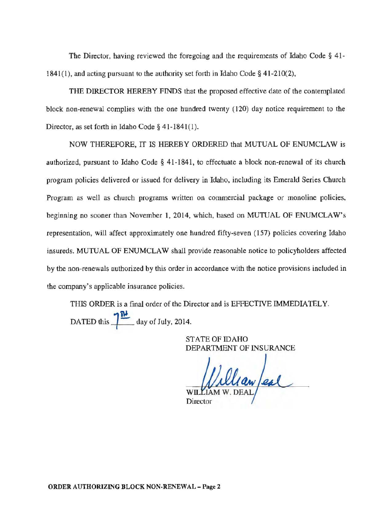The Director, having reviewed the foregoing and the requirements of Idaho Code § 41- 1841(1), and acting pursuant to the authority set forth in Idaho Code§ 41-210(2),

THE DIRECTOR HEREBY FINDS that the proposed effective date of the contemplated block non-renewal complies with the one hundred twenty (120) day notice requirement to the Director, as set forth in Idaho Code§ 41-1841(1).

NOW THEREFORE, IT IS HEREBY ORDERED that MUTUAL OF ENUMCLAW is authorized, pursuant to Idaho Code § 41-1841, to effectuate a block non-renewal of its church program policies delivered or issued for delivery in Idaho, including its Emerald Series Church Program as well as church programs written on commercial package or monoline policies, beginning no sooner than November 1, 2014, which, based on MUTIJAL OF ENUMCLAW's representation, will affect approximately one hundred fifty-seven (157) policies covering Idaho insureds. MUTUAL OF ENUMCLAW shall provide reasonable notice to policyholders affected by the non-renewals authorized by this order in accordance with the notice provisions included in the company's applicable insurance policies.

THIS ORDER is a final order of the Director and is EFFECTIVE IMMEDIATELY. DATED this  $\frac{1}{\sqrt{2}}$  day of July, 2014.

> STATE OF IDAHO DEPARTMENT OF INSURANCE

Clean/eal

Director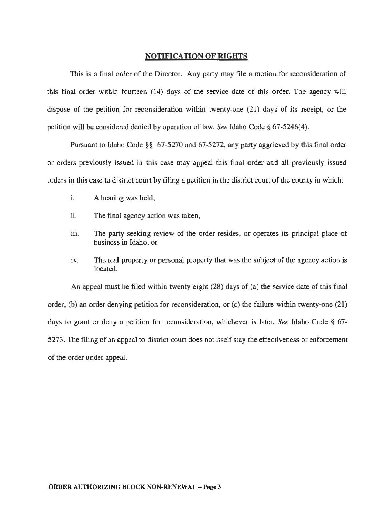## NOTIFICATION OF RIGHTS

This is a final order of the Director. Any party may file a motion for reconsideration of this final order within fourteen (14) days of the service date of this order. The agency will dispose of the petition for reconsideration within twenty-one (21) days of its receipt, or the petition will be considered denied by operation of law. *See* Idaho Code§ 67-5246(4).

Pursuant to Idaho Code §§ 67-5270 and 67-5272, any party aggrieved by this final order or orders previously issued in this case may appeal this final order and all previously issued orders in this case to district court by filing a petition in the district court of the county in which:

- 1. A hearing was held,
- ii. The final agency action was taken,
- iii. The party seeking review of the order resides, or operates its principal place of business in Idaho, or
- iv. The real property or personal property that was the subject of the agency action is located.

An appeal must be filed within twenty-eight (28) days of (a) the service date of this final order, (b) an order denying petition for reconsideration, or (c) the failure within twenty-one (21) days to grant or deny a petition for reconsideration, whichever is later. *See* Idaho Code § 67- 5273. The filing of an appeal to district court does not itself stay the effectiveness or enforcement of the order under appeal.